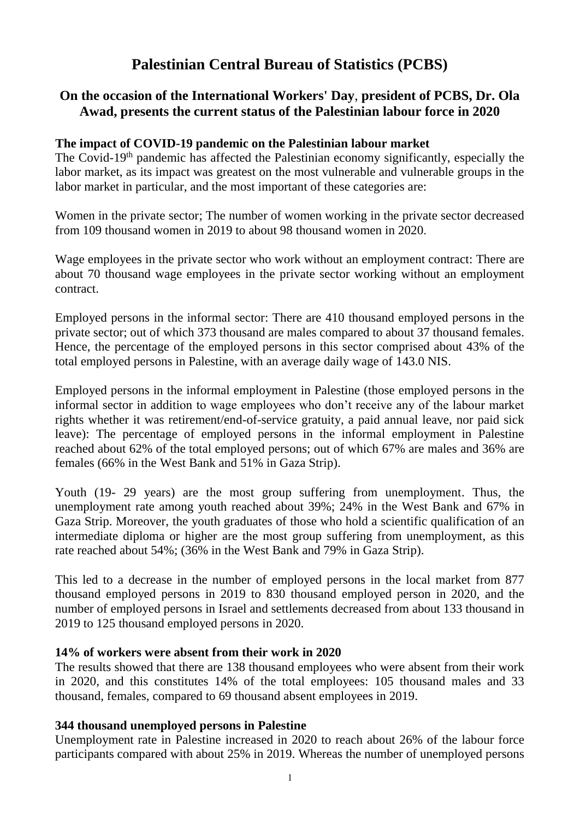# **Palestinian Central Bureau of Statistics (PCBS)**

# **On the occasion of the International Workers' Day**, **president of PCBS, Dr. Ola Awad, presents the current status of the Palestinian labour force in 2020**

#### **The impact of COVID-19 pandemic on the Palestinian labour market**

The Covid-19<sup>th</sup> pandemic has affected the Palestinian economy significantly, especially the labor market, as its impact was greatest on the most vulnerable and vulnerable groups in the labor market in particular, and the most important of these categories are:

Women in the private sector; The number of women working in the private sector decreased from 109 thousand women in 2019 to about 98 thousand women in 2020.

Wage employees in the private sector who work without an employment contract: There are about 70 thousand wage employees in the private sector working without an employment contract.

Employed persons in the informal sector: There are 410 thousand employed persons in the private sector; out of which 373 thousand are males compared to about 37 thousand females. Hence, the percentage of the employed persons in this sector comprised about 43% of the total employed persons in Palestine, with an average daily wage of 143.0 NIS.

Employed persons in the informal employment in Palestine (those employed persons in the informal sector in addition to wage employees who don't receive any of the labour market rights whether it was retirement/end-of-service gratuity, a paid annual leave, nor paid sick leave): The percentage of employed persons in the informal employment in Palestine reached about 62% of the total employed persons; out of which 67% are males and 36% are females (66% in the West Bank and 51% in Gaza Strip).

Youth (19- 29 years) are the most group suffering from unemployment. Thus, the unemployment rate among youth reached about 39%; 24% in the West Bank and 67% in Gaza Strip. Moreover, the youth graduates of those who hold a scientific qualification of an intermediate diploma or higher are the most group suffering from unemployment, as this rate reached about 54%; (36% in the West Bank and 79% in Gaza Strip).

This led to a decrease in the number of employed persons in the local market from 877 thousand employed persons in 2019 to 830 thousand employed person in 2020, and the number of employed persons in Israel and settlements decreased from about 133 thousand in 2019 to 125 thousand employed persons in 2020.

#### **14% of workers were absent from their work in 2020**

The results showed that there are 138 thousand employees who were absent from their work in 2020, and this constitutes 14% of the total employees: 105 thousand males and 33 thousand, females, compared to 69 thousand absent employees in 2019.

# **344 thousand unemployed persons in Palestine**

Unemployment rate in Palestine increased in 2020 to reach about 26% of the labour force participants compared with about 25% in 2019. Whereas the number of unemployed persons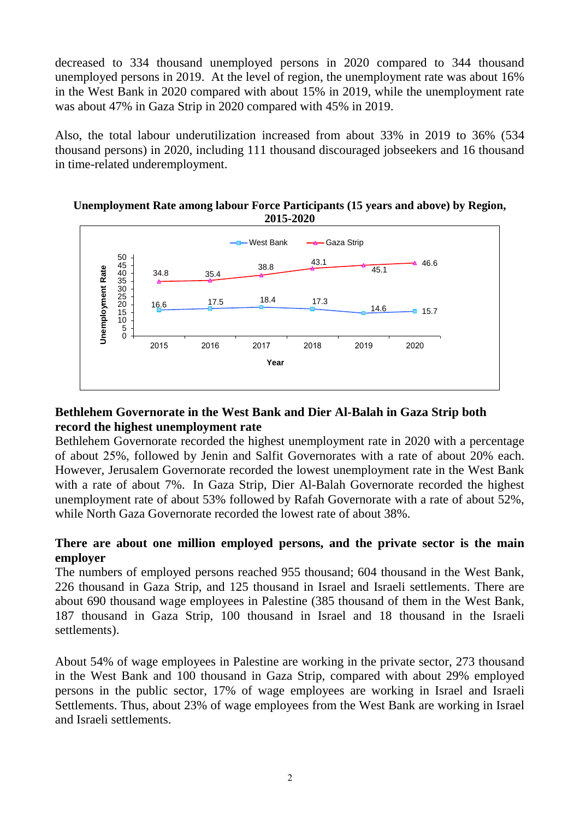decreased to 334 thousand unemployed persons in 2020 compared to 344 thousand unemployed persons in 2019. At the level of region, the unemployment rate was about 16% in the West Bank in 2020 compared with about 15% in 2019, while the unemployment rate was about 47% in Gaza Strip in 2020 compared with 45% in 2019.

Also, the total labour underutilization increased from about 33% in 2019 to 36% (534 thousand persons) in 2020, including 111 thousand discouraged jobseekers and 16 thousand in time-related underemployment.

#### **Unemployment Rate among labour Force Participants (15 years and above) by Region, 2015-2020**



# **Bethlehem Governorate in the West Bank and Dier Al-Balah in Gaza Strip both record the highest unemployment rate**

Bethlehem Governorate recorded the highest unemployment rate in 2020 with a percentage of about 25%, followed by Jenin and Salfit Governorates with a rate of about 20% each. However, Jerusalem Governorate recorded the lowest unemployment rate in the West Bank with a rate of about 7%. In Gaza Strip, Dier Al-Balah Governorate recorded the highest unemployment rate of about 53% followed by Rafah Governorate with a rate of about 52%, while North Gaza Governorate recorded the lowest rate of about 38%.

# **There are about one million employed persons, and the private sector is the main employer**

The numbers of employed persons reached 955 thousand; 604 thousand in the West Bank, 226 thousand in Gaza Strip, and 125 thousand in Israel and Israeli settlements. There are about 690 thousand wage employees in Palestine (385 thousand of them in the West Bank, 187 thousand in Gaza Strip, 100 thousand in Israel and 18 thousand in the Israeli settlements).

About 54% of wage employees in Palestine are working in the private sector, 273 thousand in the West Bank and 100 thousand in Gaza Strip, compared with about 29% employed persons in the public sector, 17% of wage employees are working in Israel and Israeli Settlements. Thus, about 23% of wage employees from the West Bank are working in Israel and Israeli settlements.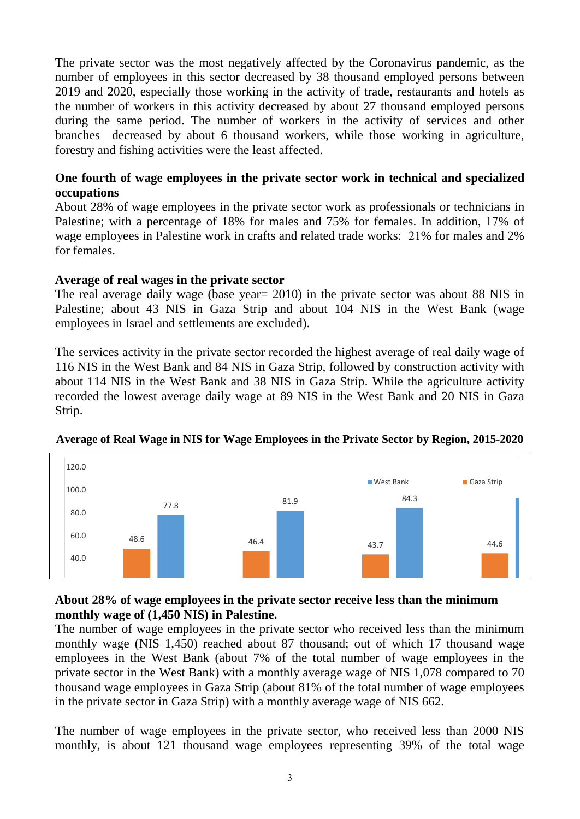The private sector was the most negatively affected by the Coronavirus pandemic, as the number of employees in this sector decreased by 38 thousand employed persons between 2019 and 2020, especially those working in the activity of trade, restaurants and hotels as the number of workers in this activity decreased by about 27 thousand employed persons during the same period. The number of workers in the activity of services and other branches decreased by about 6 thousand workers, while those working in agriculture, forestry and fishing activities were the least affected.

#### **One fourth of wage employees in the private sector work in technical and specialized occupations**

About 28% of wage employees in the private sector work as professionals or technicians in Palestine; with a percentage of 18% for males and 75% for females. In addition, 17% of wage employees in Palestine work in crafts and related trade works: 21% for males and 2% for females.

#### **Average of real wages in the private sector**

The real average daily wage (base year= 2010) in the private sector was about 88 NIS in Palestine; about 43 NIS in Gaza Strip and about 104 NIS in the West Bank (wage employees in Israel and settlements are excluded).

The services activity in the private sector recorded the highest average of real daily wage of 116 NIS in the West Bank and 84 NIS in Gaza Strip, followed by construction activity with about 114 NIS in the West Bank and 38 NIS in Gaza Strip. While the agriculture activity recorded the lowest average daily wage at 89 NIS in the West Bank and 20 NIS in Gaza Strip.



# **Average of Real Wage in NIS for Wage Employees in the Private Sector by Region, 2015-2020**

#### **About 28% of wage employees in the private sector receive less than the minimum monthly wage of (1,450 NIS) in Palestine.**

The number of wage employees in the private sector who received less than the minimum monthly wage (NIS 1,450) reached about 87 thousand; out of which 17 thousand wage employees in the West Bank (about 7% of the total number of wage employees in the private sector in the West Bank) with a monthly average wage of NIS 1,078 compared to 70 thousand wage employees in Gaza Strip (about 81% of the total number of wage employees in the private sector in Gaza Strip) with a monthly average wage of NIS 662.

The number of wage employees in the private sector, who received less than 2000 NIS monthly, is about 121 thousand wage employees representing 39% of the total wage